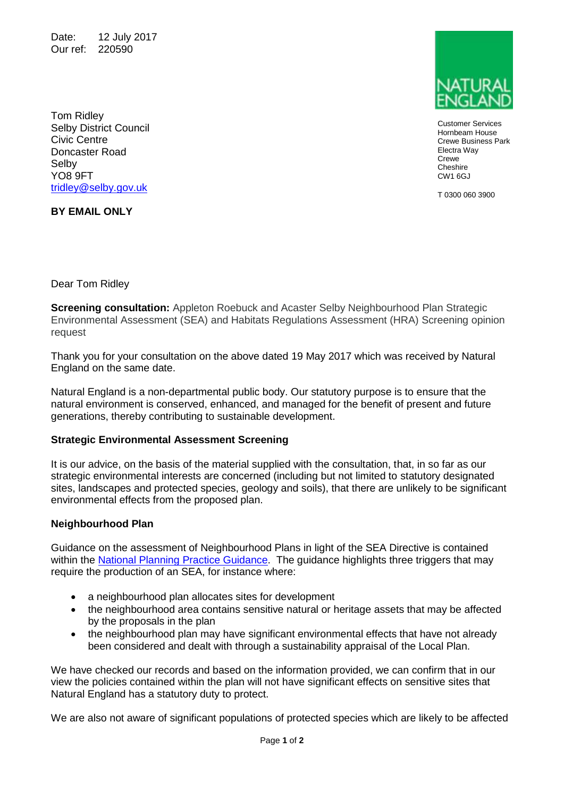Date: 12 July 2017 Our ref: 220590

Customer Services Hornbeam House Crewe Business Park Electra Way **Crewe Cheshire** CW1 6GJ

T 0300 060 3900

Tom Ridley Selby District Council Civic Centre Doncaster Road Selby YO8 9FT [tridley@selby.gov.uk](mailto:tridley@selby.gov.uk)

**BY EMAIL ONLY**

Dear Tom Ridley

**Screening consultation:** Appleton Roebuck and Acaster Selby Neighbourhood Plan Strategic Environmental Assessment (SEA) and Habitats Regulations Assessment (HRA) Screening opinion request

Thank you for your consultation on the above dated 19 May 2017 which was received by Natural England on the same date.

Natural England is a non-departmental public body. Our statutory purpose is to ensure that the natural environment is conserved, enhanced, and managed for the benefit of present and future generations, thereby contributing to sustainable development.

## **Strategic Environmental Assessment Screening**

It is our advice, on the basis of the material supplied with the consultation, that, in so far as our strategic environmental interests are concerned (including but not limited to statutory designated sites, landscapes and protected species, geology and soils), that there are unlikely to be significant environmental effects from the proposed plan.

## **Neighbourhood Plan**

Guidance on the assessment of Neighbourhood Plans in light of the SEA Directive is contained within the [National Planning Practice Guidance.](https://www.gov.uk/guidance/strategic-environmental-assessment-and-sustainability-appraisal) The guidance highlights three triggers that may require the production of an SEA, for instance where:

- a neighbourhood plan allocates sites for development
- the neighbourhood area contains sensitive natural or heritage assets that may be affected by the proposals in the plan
- the neighbourhood plan may have significant environmental effects that have not already been considered and dealt with through a sustainability appraisal of the Local Plan.

We have checked our records and based on the information provided, we can confirm that in our view the policies contained within the plan will not have significant effects on sensitive sites that Natural England has a statutory duty to protect.

We are also not aware of significant populations of protected species which are likely to be affected